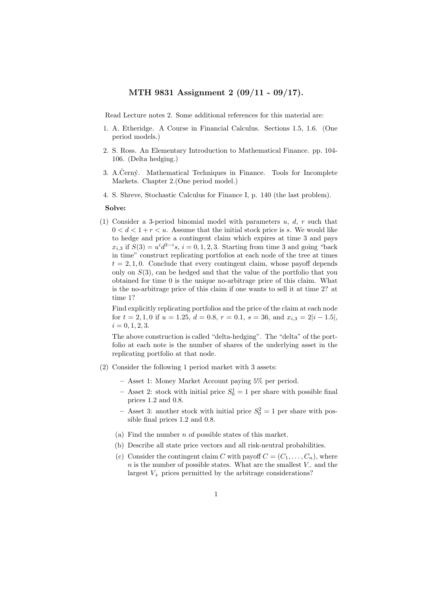## MTH 9831 Assignment 2 (09/11 - 09/17).

Read Lecture notes 2. Some additional references for this material are:

- 1. A. Etheridge. A Course in Financial Calculus. Sections 1.5, 1.6. (One period models.)
- 2. S. Ross. An Elementary Introduction to Mathematical Finance. pp. 104- 106. (Delta hedging.)
- 3. A.Cerný. Mathematical Techniques in Finance. Tools for Incomplete Markets. Chapter 2.(One period model.)
- 4. S. Shreve, Stochastic Calculus for Finance I, p. 140 (the last problem).

## Solve:

(1) Consider a 3-period binomial model with parameters u, d, r such that  $0 < d < 1+r < u$ . Assume that the initial stock price is s. We would like to hedge and price a contingent claim which expires at time 3 and pays  $x_{i,3}$  if  $S(3) = u^i d^{3-i} s$ ,  $i = 0, 1, 2, 3$ . Starting from time 3 and going "back in time" construct replicating portfolios at each node of the tree at times  $t = 2, 1, 0$ . Conclude that every contingent claim, whose payoff depends only on  $S(3)$ , can be hedged and that the value of the portfolio that you obtained for time 0 is the unique no-arbitrage price of this claim. What is the no-arbitrage price of this claim if one wants to sell it at time 2? at time 1?

Find explicitly replicating portfolios and the price of the claim at each node for  $t = 2, 1, 0$  if  $u = 1.25$ ,  $d = 0.8$ ,  $r = 0.1$ ,  $s = 36$ , and  $x_{i,3} = 2|i - 1.5|$ ,  $i = 0, 1, 2, 3.$ 

The above construction is called "delta-hedging". The "delta" of the portfolio at each note is the number of shares of the underlying asset in the replicating portfolio at that node.

- (2) Consider the following 1 period market with 3 assets:
	- Asset 1: Money Market Account paying 5% per period.
	- Asset 2: stock with initial price  $S_0^1 = 1$  per share with possible final prices 1.2 and 0.8.
	- Asset 3: another stock with initial price  $S_0^2 = 1$  per share with possible final prices 1.2 and 0.8.
	- (a) Find the number  $n$  of possible states of this market.
	- (b) Describe all state price vectors and all risk-neutral probabilities.
	- (c) Consider the contingent claim C with payoff  $C = (C_1, \ldots, C_n)$ , where  $n$  is the number of possible states. What are the smallest  $V_-\$  and the largest  $V_{+}$  prices permitted by the arbitrage considerations?